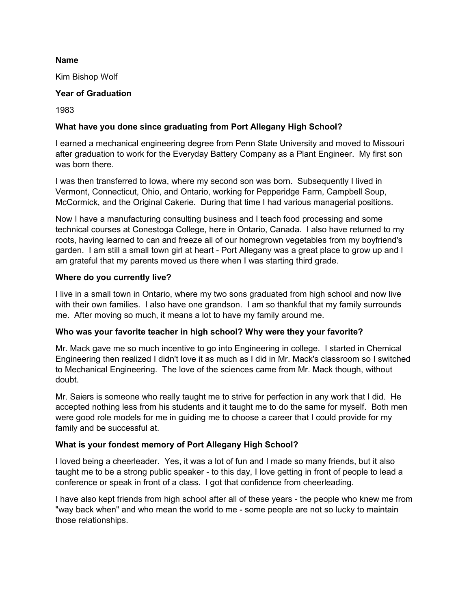#### **Name**

Kim Bishop Wolf

## **Year of Graduation**

1983

# **What have you done since graduating from Port Allegany High School?**

I earned a mechanical engineering degree from Penn State University and moved to Missouri after graduation to work for the Everyday Battery Company as a Plant Engineer. My first son was born there.

I was then transferred to Iowa, where my second son was born. Subsequently I lived in Vermont, Connecticut, Ohio, and Ontario, working for Pepperidge Farm, Campbell Soup, McCormick, and the Original Cakerie. During that time I had various managerial positions.

Now I have a manufacturing consulting business and I teach food processing and some technical courses at Conestoga College, here in Ontario, Canada. I also have returned to my roots, having learned to can and freeze all of our homegrown vegetables from my boyfriend's garden. I am still a small town girl at heart - Port Allegany was a great place to grow up and I am grateful that my parents moved us there when I was starting third grade.

### **Where do you currently live?**

I live in a small town in Ontario, where my two sons graduated from high school and now live with their own families. I also have one grandson. I am so thankful that my family surrounds me. After moving so much, it means a lot to have my family around me.

## **Who was your favorite teacher in high school? Why were they your favorite?**

Mr. Mack gave me so much incentive to go into Engineering in college. I started in Chemical Engineering then realized I didn't love it as much as I did in Mr. Mack's classroom so I switched to Mechanical Engineering. The love of the sciences came from Mr. Mack though, without doubt.

Mr. Saiers is someone who really taught me to strive for perfection in any work that I did. He accepted nothing less from his students and it taught me to do the same for myself. Both men were good role models for me in guiding me to choose a career that I could provide for my family and be successful at.

## **What is your fondest memory of Port Allegany High School?**

I loved being a cheerleader. Yes, it was a lot of fun and I made so many friends, but it also taught me to be a strong public speaker - to this day, I love getting in front of people to lead a conference or speak in front of a class. I got that confidence from cheerleading.

I have also kept friends from high school after all of these years - the people who knew me from "way back when" and who mean the world to me - some people are not so lucky to maintain those relationships.